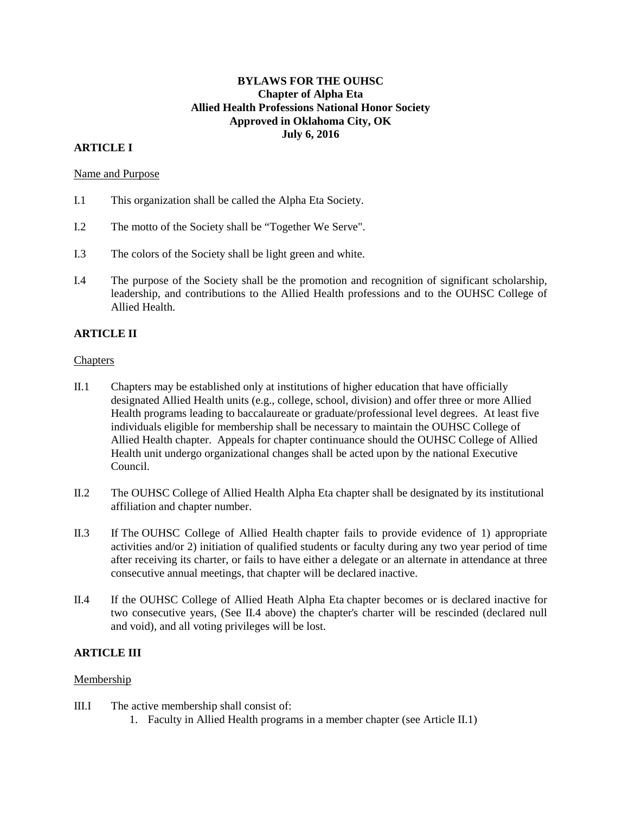### **BYLAWS FOR THE OUHSC Chapter of Alpha Eta Allied Health Professions National Honor Society Approved in Oklahoma City, OK July 6, 2016**

# **ARTICLE I**

#### Name and Purpose

- I.1 This organization shall be called the Alpha Eta Society.
- I.2 The motto of the Society shall be "Together We Serve".
- I.3 The colors of the Society shall be light green and white.
- I.4 The purpose of the Society shall be the promotion and recognition of significant scholarship, leadership, and contributions to the Allied Health professions and to the OUHSC College of Allied Health.

# **ARTICLE II**

### **Chapters**

- II.1 Chapters may be established only at institutions of higher education that have officially designated Allied Health units (e.g., college, school, division) and offer three or more Allied Health programs leading to baccalaureate or graduate/professional level degrees. At least five individuals eligible for membership shall be necessary to maintain the OUHSC College of Allied Health chapter. Appeals for chapter continuance should the OUHSC College of Allied Health unit undergo organizational changes shall be acted upon by the national Executive Council.
- II.2 The OUHSC College of Allied Health Alpha Eta chapter shall be designated by its institutional affiliation and chapter number.
- II.3 If The OUHSC College of Allied Health chapter fails to provide evidence of 1) appropriate activities and/or 2) initiation of qualified students or faculty during any two year period of time after receiving its charter, or fails to have either a delegate or an alternate in attendance at three consecutive annual meetings, that chapter will be declared inactive.
- II.4 If the OUHSC College of Allied Heath Alpha Eta chapter becomes or is declared inactive for two consecutive years, (See II.4 above) the chapter's charter will be rescinded (declared null and void), and all voting privileges will be lost.

# **ARTICLE III**

### Membership

- III.I The active membership shall consist of:
	- 1. Faculty in Allied Health programs in a member chapter (see Article II.1)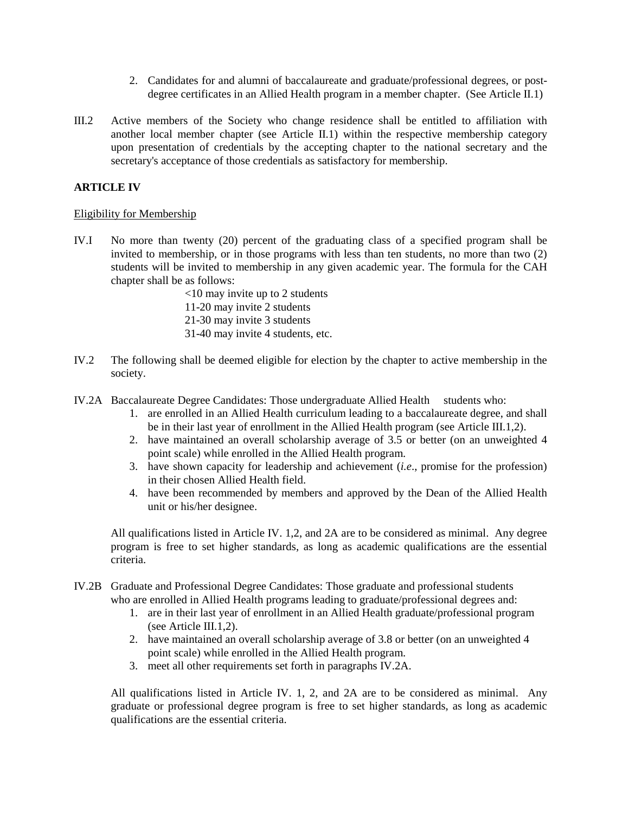- 2. Candidates for and alumni of baccalaureate and graduate/professional degrees, or postdegree certificates in an Allied Health program in a member chapter. (See Article II.1)
- III.2 Active members of the Society who change residence shall be entitled to affiliation with another local member chapter (see Article II.1) within the respective membership category upon presentation of credentials by the accepting chapter to the national secretary and the secretary's acceptance of those credentials as satisfactory for membership.

# **ARTICLE IV**

### Eligibility for Membership

IV.I No more than twenty (20) percent of the graduating class of a specified program shall be invited to membership, or in those programs with less than ten students, no more than two (2) students will be invited to membership in any given academic year. The formula for the CAH chapter shall be as follows:

<10 may invite up to 2 students 11-20 may invite 2 students 21-30 may invite 3 students 31-40 may invite 4 students, etc.

- IV.2 The following shall be deemed eligible for election by the chapter to active membership in the society.
- IV.2A Baccalaureate Degree Candidates: Those undergraduate Allied Health students who:
	- 1. are enrolled in an Allied Health curriculum leading to a baccalaureate degree, and shall be in their last year of enrollment in the Allied Health program (see Article III.1,2).
	- 2. have maintained an overall scholarship average of 3.5 or better (on an unweighted 4 point scale) while enrolled in the Allied Health program.
	- 3. have shown capacity for leadership and achievement (*i.e*., promise for the profession) in their chosen Allied Health field.
	- 4. have been recommended by members and approved by the Dean of the Allied Health unit or his/her designee.

All qualifications listed in Article IV. 1,2, and 2A are to be considered as minimal. Any degree program is free to set higher standards, as long as academic qualifications are the essential criteria.

- IV.2B Graduate and Professional Degree Candidates: Those graduate and professional students who are enrolled in Allied Health programs leading to graduate/professional degrees and:
	- 1. are in their last year of enrollment in an Allied Health graduate/professional program (see Article III.1,2).
	- 2. have maintained an overall scholarship average of 3.8 or better (on an unweighted 4 point scale) while enrolled in the Allied Health program.
	- 3. meet all other requirements set forth in paragraphs IV.2A.

All qualifications listed in Article IV. 1, 2, and 2A are to be considered as minimal. Any graduate or professional degree program is free to set higher standards, as long as academic qualifications are the essential criteria.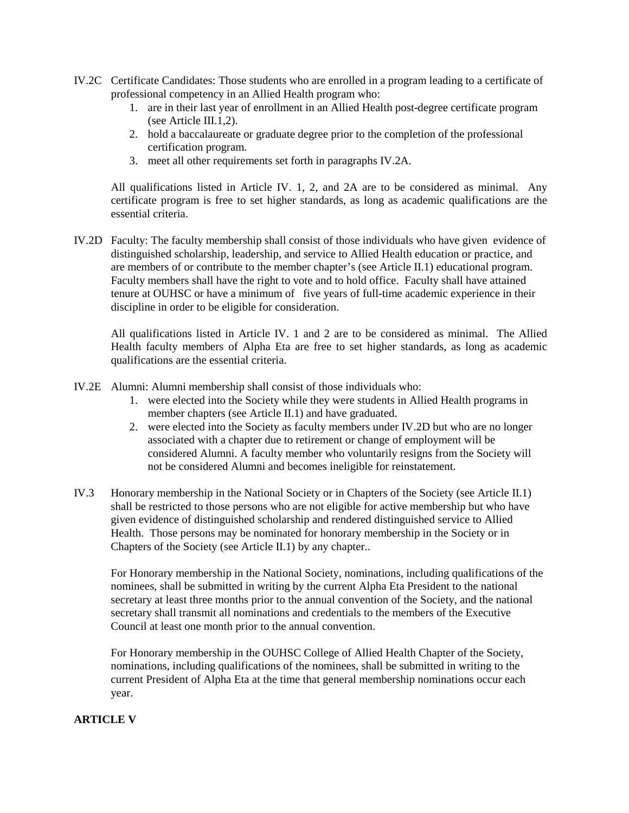- IV.2C Certificate Candidates: Those students who are enrolled in a program leading to a certificate of professional competency in an Allied Health program who:
	- 1. are in their last year of enrollment in an Allied Health post-degree certificate program (see Article III.1,2).
	- 2. hold a baccalaureate or graduate degree prior to the completion of the professional certification program.
	- 3. meet all other requirements set forth in paragraphs IV.2A.

All qualifications listed in Article IV. 1, 2, and 2A are to be considered as minimal. Any certificate program is free to set higher standards, as long as academic qualifications are the essential criteria.

IV.2D Faculty: The faculty membership shall consist of those individuals who have given evidence of distinguished scholarship, leadership, and service to Allied Health education or practice, and are members of or contribute to the member chapter's (see Article II.1) educational program. Faculty members shall have the right to vote and to hold office. Faculty shall have attained tenure at OUHSC or have a minimum of five years of full-time academic experience in their discipline in order to be eligible for consideration.

All qualifications listed in Article IV. 1 and 2 are to be considered as minimal. The Allied Health faculty members of Alpha Eta are free to set higher standards, as long as academic qualifications are the essential criteria.

- IV.2E Alumni: Alumni membership shall consist of those individuals who:
	- 1. were elected into the Society while they were students in Allied Health programs in member chapters (see Article II.1) and have graduated.
	- 2. were elected into the Society as faculty members under IV.2D but who are no longer associated with a chapter due to retirement or change of employment will be considered Alumni. A faculty member who voluntarily resigns from the Society will not be considered Alumni and becomes ineligible for reinstatement.
- IV.3 Honorary membership in the National Society or in Chapters of the Society (see Article II.1) shall be restricted to those persons who are not eligible for active membership but who have given evidence of distinguished scholarship and rendered distinguished service to Allied Health. Those persons may be nominated for honorary membership in the Society or in Chapters of the Society (see Article II.1) by any chapter..

For Honorary membership in the National Society, nominations, including qualifications of the nominees, shall be submitted in writing by the current Alpha Eta President to the national secretary at least three months prior to the annual convention of the Society, and the national secretary shall transmit all nominations and credentials to the members of the Executive Council at least one month prior to the annual convention.

For Honorary membership in the OUHSC College of Allied Health Chapter of the Society, nominations, including qualifications of the nominees, shall be submitted in writing to the current President of Alpha Eta at the time that general membership nominations occur each year.

# **ARTICLE V**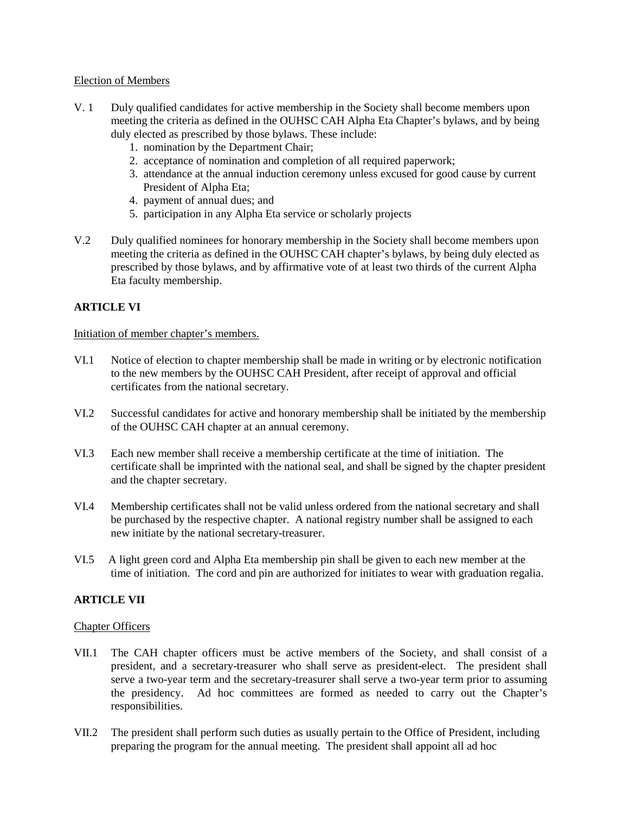### Election of Members

- V. 1 Duly qualified candidates for active membership in the Society shall become members upon meeting the criteria as defined in the OUHSC CAH Alpha Eta Chapter's bylaws, and by being duly elected as prescribed by those bylaws. These include:
	- 1. nomination by the Department Chair;
	- 2. acceptance of nomination and completion of all required paperwork;
	- 3. attendance at the annual induction ceremony unless excused for good cause by current President of Alpha Eta;
	- 4. payment of annual dues; and
	- 5. participation in any Alpha Eta service or scholarly projects
- V.2 Duly qualified nominees for honorary membership in the Society shall become members upon meeting the criteria as defined in the OUHSC CAH chapter's bylaws, by being duly elected as prescribed by those bylaws, and by affirmative vote of at least two thirds of the current Alpha Eta faculty membership.

# **ARTICLE VI**

### Initiation of member chapter's members.

- VI.1 Notice of election to chapter membership shall be made in writing or by electronic notification to the new members by the OUHSC CAH President, after receipt of approval and official certificates from the national secretary.
- VI.2 Successful candidates for active and honorary membership shall be initiated by the membership of the OUHSC CAH chapter at an annual ceremony.
- VI.3 Each new member shall receive a membership certificate at the time of initiation. The certificate shall be imprinted with the national seal, and shall be signed by the chapter president and the chapter secretary.
- VI.4 Membership certificates shall not be valid unless ordered from the national secretary and shall be purchased by the respective chapter. A national registry number shall be assigned to each new initiate by the national secretary-treasurer.
- VI.5 A light green cord and Alpha Eta membership pin shall be given to each new member at the time of initiation. The cord and pin are authorized for initiates to wear with graduation regalia.

### **ARTICLE VII**

### Chapter Officers

- VII.1 The CAH chapter officers must be active members of the Society, and shall consist of a president, and a secretary-treasurer who shall serve as president-elect. The president shall serve a two-year term and the secretary-treasurer shall serve a two-year term prior to assuming the presidency. Ad hoc committees are formed as needed to carry out the Chapter's responsibilities.
- VII.2 The president shall perform such duties as usually pertain to the Office of President, including preparing the program for the annual meeting. The president shall appoint all ad hoc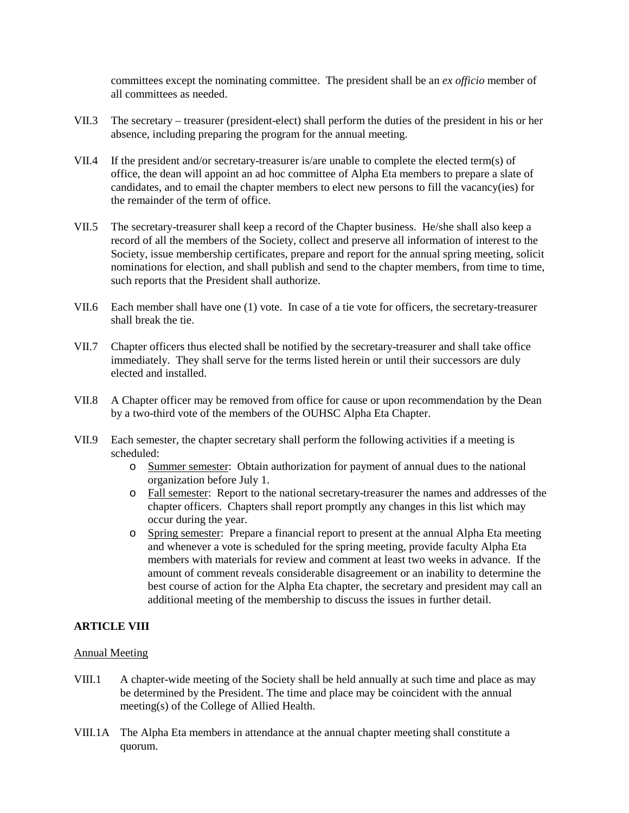committees except the nominating committee. The president shall be an *ex officio* member of all committees as needed.

- VII.3 The secretary treasurer (president-elect) shall perform the duties of the president in his or her absence, including preparing the program for the annual meeting.
- VII.4 If the president and/or secretary-treasurer is/are unable to complete the elected term(s) of office, the dean will appoint an ad hoc committee of Alpha Eta members to prepare a slate of candidates, and to email the chapter members to elect new persons to fill the vacancy(ies) for the remainder of the term of office.
- VII.5 The secretary-treasurer shall keep a record of the Chapter business. He/she shall also keep a record of all the members of the Society, collect and preserve all information of interest to the Society, issue membership certificates, prepare and report for the annual spring meeting, solicit nominations for election, and shall publish and send to the chapter members, from time to time, such reports that the President shall authorize.
- VII.6 Each member shall have one (1) vote. In case of a tie vote for officers, the secretary-treasurer shall break the tie.
- VII.7 Chapter officers thus elected shall be notified by the secretary-treasurer and shall take office immediately. They shall serve for the terms listed herein or until their successors are duly elected and installed.
- VII.8 A Chapter officer may be removed from office for cause or upon recommendation by the Dean by a two-third vote of the members of the OUHSC Alpha Eta Chapter.
- VII.9 Each semester, the chapter secretary shall perform the following activities if a meeting is scheduled:
	- o Summer semester: Obtain authorization for payment of annual dues to the national organization before July 1.
	- o Fall semester: Report to the national secretary-treasurer the names and addresses of the chapter officers. Chapters shall report promptly any changes in this list which may occur during the year.
	- o Spring semester: Prepare a financial report to present at the annual Alpha Eta meeting and whenever a vote is scheduled for the spring meeting, provide faculty Alpha Eta members with materials for review and comment at least two weeks in advance. If the amount of comment reveals considerable disagreement or an inability to determine the best course of action for the Alpha Eta chapter, the secretary and president may call an additional meeting of the membership to discuss the issues in further detail.

# **ARTICLE VIII**

#### Annual Meeting

- VIII.1 A chapter-wide meeting of the Society shall be held annually at such time and place as may be determined by the President. The time and place may be coincident with the annual meeting(s) of the College of Allied Health.
- VIII.1A The Alpha Eta members in attendance at the annual chapter meeting shall constitute a quorum.